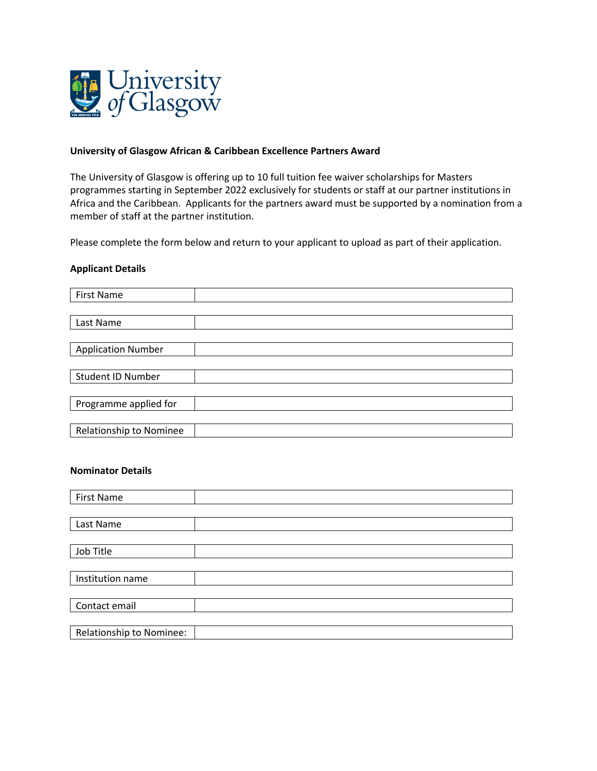

## **University of Glasgow African & Caribbean Excellence Partners Award**

The University of Glasgow is offering up to 10 full tuition fee waiver scholarships for Masters programmes starting in September 2022 exclusively for students or staff at our partner institutions in Africa and the Caribbean. Applicants for the partners award must be supported by a nomination from a member of staff at the partner institution.

Please complete the form below and return to your applicant to upload as part of their application.

## **Applicant Details**

| <b>First Name</b>         |  |
|---------------------------|--|
|                           |  |
| Last Name                 |  |
|                           |  |
| <b>Application Number</b> |  |
|                           |  |
| <b>Student ID Number</b>  |  |
|                           |  |
| Programme applied for     |  |
|                           |  |
| Relationship to Nominee   |  |

## **Nominator Details**

| <b>First Name</b>        |  |
|--------------------------|--|
|                          |  |
| Last Name                |  |
|                          |  |
| Job Title                |  |
|                          |  |
| Institution name         |  |
|                          |  |
| Contact email            |  |
|                          |  |
| Relationship to Nominee: |  |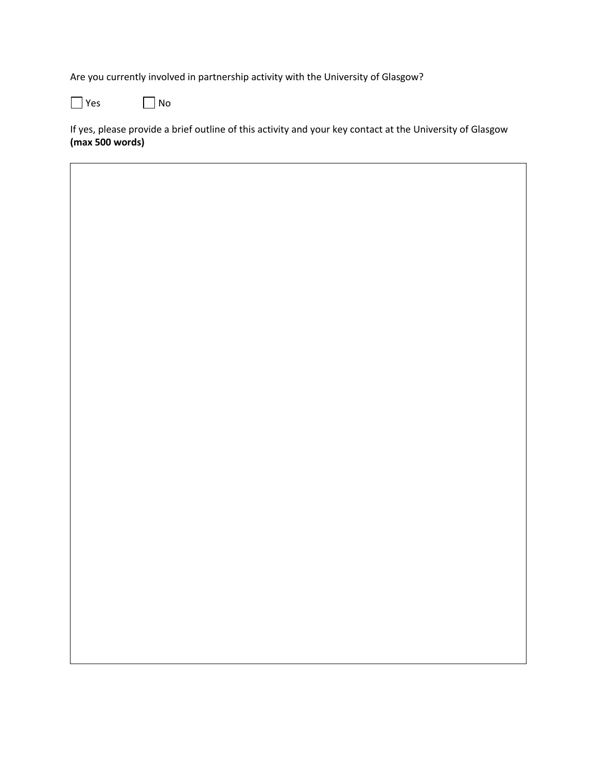Are you currently involved in partnership activity with the University of Glasgow?

 $\Box$  Yes  $\Box$  No

If yes, please provide a brief outline of this activity and your key contact at the University of Glasgow **(max 500 words)**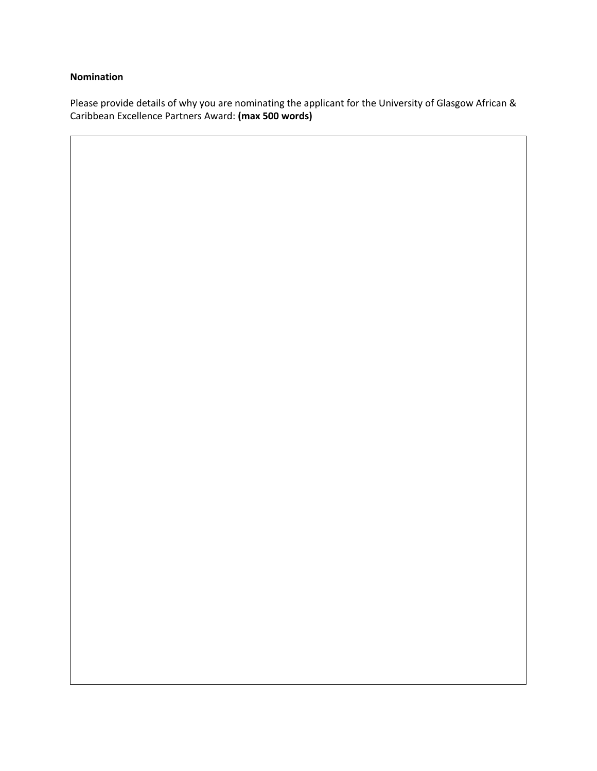## **Nomination**

Please provide details of why you are nominating the applicant for the University of Glasgow African & Caribbean Excellence Partners Award: **(max 500 words)**